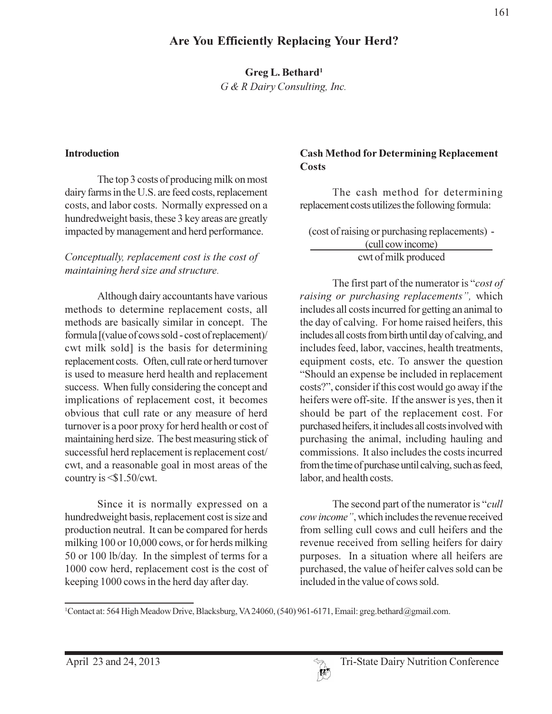# Greg L. Bethard<sup>1</sup>

G & R Dairy Consulting, Inc.

#### **Introduction**

The top 3 costs of producing milk on most dairy farms in the U.S. are feed costs, replacement costs, and labor costs. Normally expressed on a hundredweight basis, these 3 key areas are greatly impacted by management and herd performance.

### Conceptually, replacement cost is the cost of maintaining herd size and structure.

Although dairy accountants have various methods to determine replacement costs, all methods are basically similar in concept. The formula [(value of cows sold - cost of replacement)/ cwt milk sold] is the basis for determining replacement costs. Often, cull rate or herd turnover is used to measure herd health and replacement success. When fully considering the concept and implications of replacement cost, it becomes obvious that cull rate or any measure of herd turnover is a poor proxy for herd health or cost of maintaining herd size. The best measuring stick of successful herd replacement is replacement cost/ cwt, and a reasonable goal in most areas of the country is  $\leq$ \$1.50/cwt.

Since it is normally expressed on a hundredweight basis, replacement cost is size and production neutral. It can be compared for herds milking 100 or 10,000 cows, or for herds milking 50 or 100 lb/day. In the simplest of terms for a 1000 cow herd, replacement cost is the cost of keeping 1000 cows in the herd day after day.

#### **Cash Method for Determining Replacement** Costs

The cash method for determining replacement costs utilizes the following formula:

(cost of raising or purchasing replacements) -(cull cow income) cwt of milk produced

The first part of the numerator is "cost of raising or purchasing replacements", which includes all costs incurred for getting an animal to the day of calving. For home raised heifers, this includes all costs from birth until day of calving, and includes feed, labor, vaccines, health treatments, equipment costs, etc. To answer the question "Should an expense be included in replacement costs?", consider if this cost would go away if the heifers were off-site. If the answer is yes, then it should be part of the replacement cost. For purchased heifers, it includes all costs involved with purchasing the animal, including hauling and commissions. It also includes the costs incurred from the time of purchase until calving, such as feed, labor, and health costs.

The second part of the numerator is "*cull*" cow income", which includes the revenue received from selling cull cows and cull heifers and the revenue received from selling heifers for dairy purposes. In a situation where all heifers are purchased, the value of heifer calves sold can be included in the value of cows sold.

<sup>&</sup>lt;sup>1</sup>Contact at: 564 High Meadow Drive, Blacksburg, VA 24060, (540) 961-6171, Email: greg.bethard@gmail.com.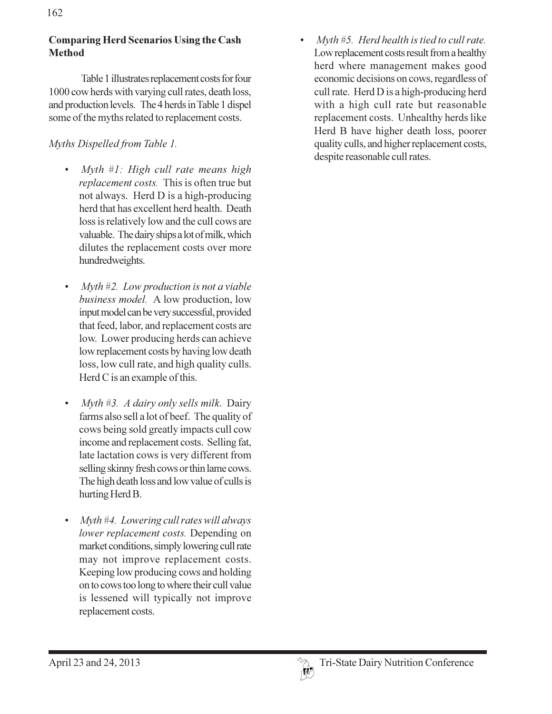### **Comparing Herd Scenarios Using the Cash Method**

Table 1 illustrates replacement costs for four 1000 cow herds with varying cull rates, death loss, and production levels. The 4 herds in Table 1 dispel some of the myths related to replacement costs.

## Myths Dispelled from Table 1.

- Myth #1: High cull rate means high replacement costs. This is often true but not always. Herd D is a high-producing herd that has excellent herd health. Death loss is relatively low and the cull cows are valuable. The dairy ships a lot of milk, which dilutes the replacement costs over more hundredweights.
- Myth  $#2$ . Low production is not a viable business model. A low production, low input model can be very successful, provided that feed, labor, and replacement costs are low. Lower producing herds can achieve low replacement costs by having low death loss, low cull rate, and high quality culls. Herd C is an example of this.
- Myth #3. A dairy only sells milk. Dairy farms also sell a lot of beef. The quality of cows being sold greatly impacts cull cow income and replacement costs. Selling fat, late lactation cows is very different from selling skinny fresh cows or thin lame cows. The high death loss and low value of culls is hurting Herd B.
- Myth #4. Lowering cull rates will always lower replacement costs. Depending on market conditions, simply lowering cull rate may not improve replacement costs. Keeping low producing cows and holding on to cows too long to where their cull value is lessened will typically not improve replacement costs.

Myth  $#5$ . Herd health is tied to cull rate. Low replacement costs result from a healthy herd where management makes good economic decisions on cows, regardless of cull rate. Herd D is a high-producing herd with a high cull rate but reasonable replacement costs. Unhealthy herds like Herd B have higher death loss, poorer quality culls, and higher replacement costs, despite reasonable cull rates.